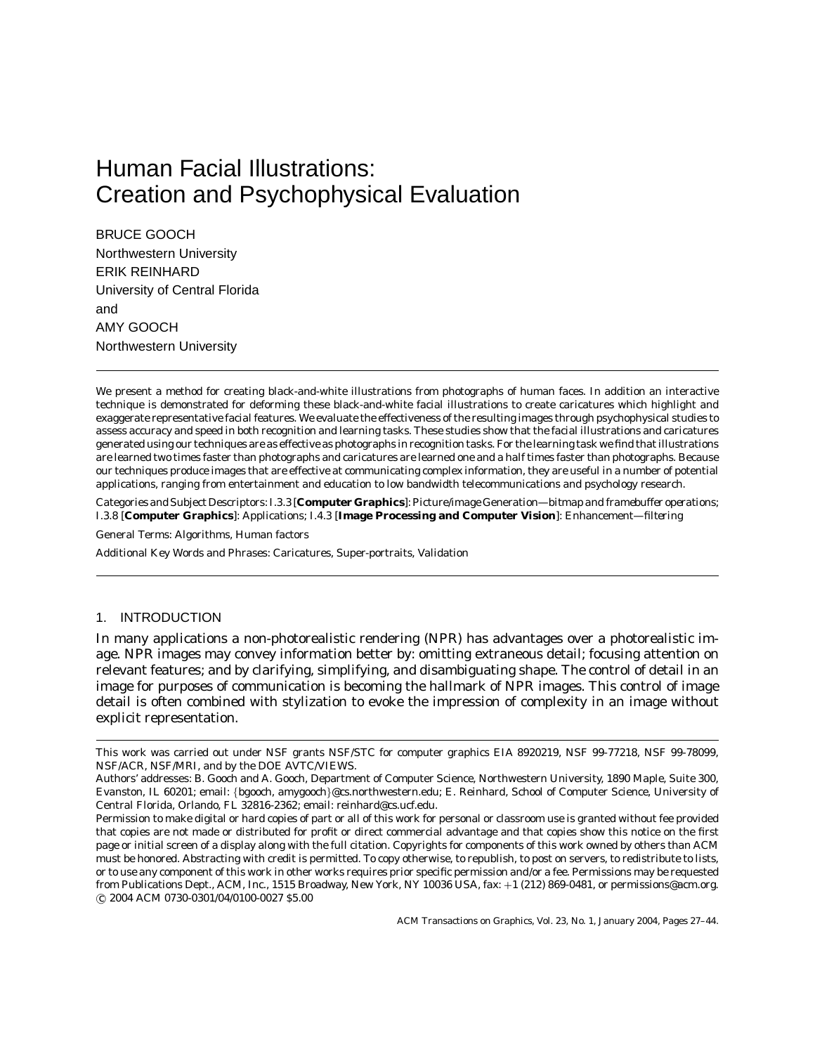# Human Facial Illustrations: Creation and Psychophysical Evaluation

BRUCE GOOCH Northwestern University ERIK REINHARD University of Central Florida and AMY GOOCH Northwestern University

We present a method for creating black-and-white illustrations from photographs of human faces. In addition an interactive technique is demonstrated for deforming these black-and-white facial illustrations to create caricatures which highlight and exaggerate representative facial features. We evaluate the effectiveness of the resulting images through psychophysical studies to assess accuracy and speed in both recognition and learning tasks. These studies show that the facial illustrations and caricatures generated using our techniques are as effective as photographs in recognition tasks. For the learning task we find that illustrations are learned two times faster than photographs and caricatures are learned one and a half times faster than photographs. Because our techniques produce images that are effective at communicating complex information, they are useful in a number of potential applications, ranging from entertainment and education to low bandwidth telecommunications and psychology research.

Categories and Subject Descriptors: I.3.3 [**Computer Graphics**]: Picture/image Generation—*bitmap and framebuffer operations*; I.3.8 [**Computer Graphics**]: Applications; I.4.3 [**Image Processing and Computer Vision**]: Enhancement—*filtering*

General Terms: Algorithms, Human factors

Additional Key Words and Phrases: Caricatures, Super-portraits, Validation

# 1. INTRODUCTION

In many applications a non-photorealistic rendering (NPR) has advantages over a photorealistic image. NPR images may convey information better by: omitting extraneous detail; focusing attention on relevant features; and by clarifying, simplifying, and disambiguating shape. The control of detail in an image for purposes of communication is becoming the hallmark of NPR images. This control of image detail is often combined with stylization to evoke the impression of complexity in an image without explicit representation.

This work was carried out under NSF grants NSF/STC for computer graphics EIA 8920219, NSF 99-77218, NSF 99-78099, NSF/ACR, NSF/MRI, and by the DOE AVTC/VIEWS.

Authors' addresses: B. Gooch and A. Gooch, Department of Computer Science, Northwestern University, 1890 Maple, Suite 300, Evanston, IL 60201; email: {bgooch, amygooch}@cs.northwestern.edu; E. Reinhard, School of Computer Science, University of Central Florida, Orlando, FL 32816-2362; email: reinhard@cs.ucf.edu.

Permission to make digital or hard copies of part or all of this work for personal or classroom use is granted without fee provided that copies are not made or distributed for profit or direct commercial advantage and that copies show this notice on the first page or initial screen of a display along with the full citation. Copyrights for components of this work owned by others than ACM must be honored. Abstracting with credit is permitted. To copy otherwise, to republish, to post on servers, to redistribute to lists, or to use any component of this work in other works requires prior specific permission and/or a fee. Permissions may be requested from Publications Dept., ACM, Inc., 1515 Broadway, New York, NY 10036 USA, fax: +1 (212) 869-0481, or permissions@acm.org. c 2004 ACM 0730-0301/04/0100-0027 \$5.00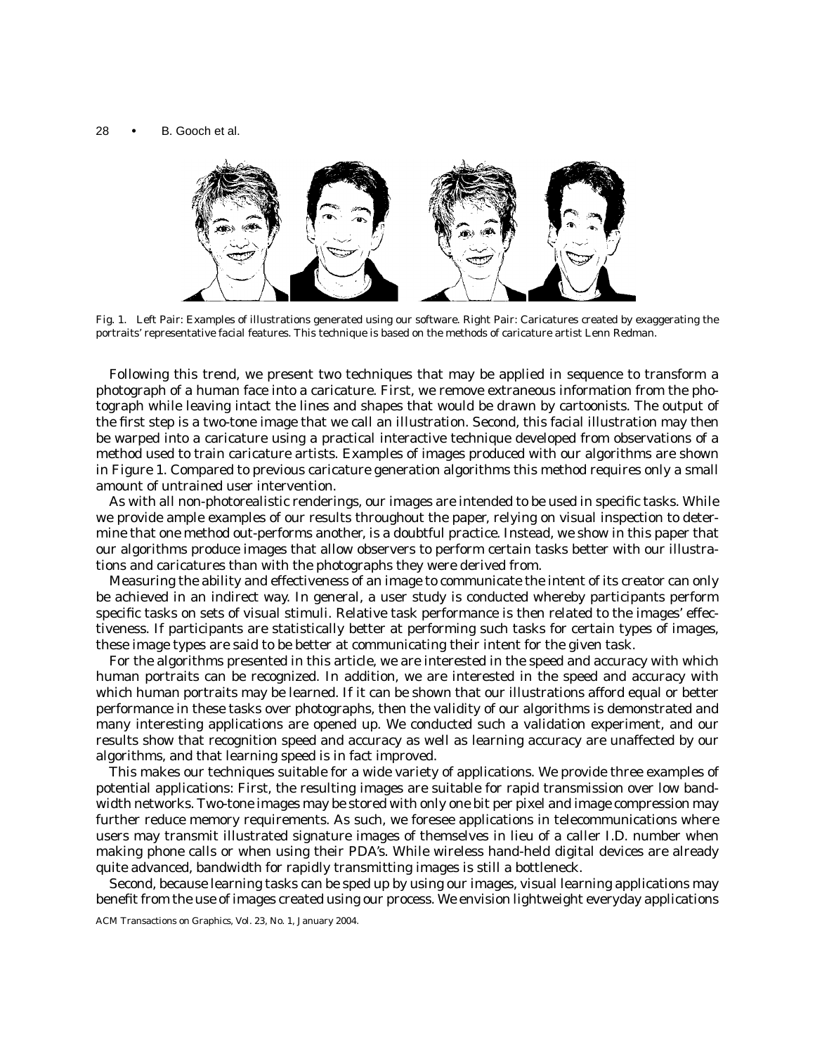

Fig. 1. Left Pair: Examples of illustrations generated using our software. Right Pair: Caricatures created by exaggerating the portraits' representative facial features. This technique is based on the methods of caricature artist Lenn Redman.

Following this trend, we present two techniques that may be applied in sequence to transform a photograph of a human face into a caricature. First, we remove extraneous information from the photograph while leaving intact the lines and shapes that would be drawn by cartoonists. The output of the first step is a two-tone image that we call an *illustration*. Second, this facial illustration may then be warped into a caricature using a practical interactive technique developed from observations of a method used to train caricature artists. Examples of images produced with our algorithms are shown in Figure 1. Compared to previous caricature generation algorithms this method requires only a small amount of untrained user intervention.

As with all non-photorealistic renderings, our images are intended to be used in specific tasks. While we provide ample examples of our results throughout the paper, relying on visual inspection to determine that one method out-performs another, is a doubtful practice. Instead, we show in this paper that our algorithms produce images that allow observers to perform certain tasks better with our illustrations and caricatures than with the photographs they were derived from.

Measuring the ability and effectiveness of an image to communicate the intent of its creator can only be achieved in an indirect way. In general, a user study is conducted whereby participants perform specific tasks on sets of visual stimuli. Relative task performance is then related to the images' effectiveness. If participants are statistically better at performing such tasks for certain types of images, these image types are said to be better at communicating their intent for the given task.

For the algorithms presented in this article, we are interested in the speed and accuracy with which human portraits can be recognized. In addition, we are interested in the speed and accuracy with which human portraits may be learned. If it can be shown that our illustrations afford equal or better performance in these tasks over photographs, then the validity of our algorithms is demonstrated and many interesting applications are opened up. We conducted such a validation experiment, and our results show that recognition speed and accuracy as well as learning accuracy are unaffected by our algorithms, and that learning speed is in fact improved.

This makes our techniques suitable for a wide variety of applications. We provide three examples of potential applications: First, the resulting images are suitable for rapid transmission over low bandwidth networks. Two-tone images may be stored with only one bit per pixel and image compression may further reduce memory requirements. As such, we foresee applications in telecommunications where users may transmit illustrated signature images of themselves in lieu of a caller I.D. number when making phone calls or when using their PDA's. While wireless hand-held digital devices are already quite advanced, bandwidth for rapidly transmitting images is still a bottleneck.

Second, because learning tasks can be sped up by using our images, visual learning applications may benefit from the use of images created using our process. We envision lightweight everyday applications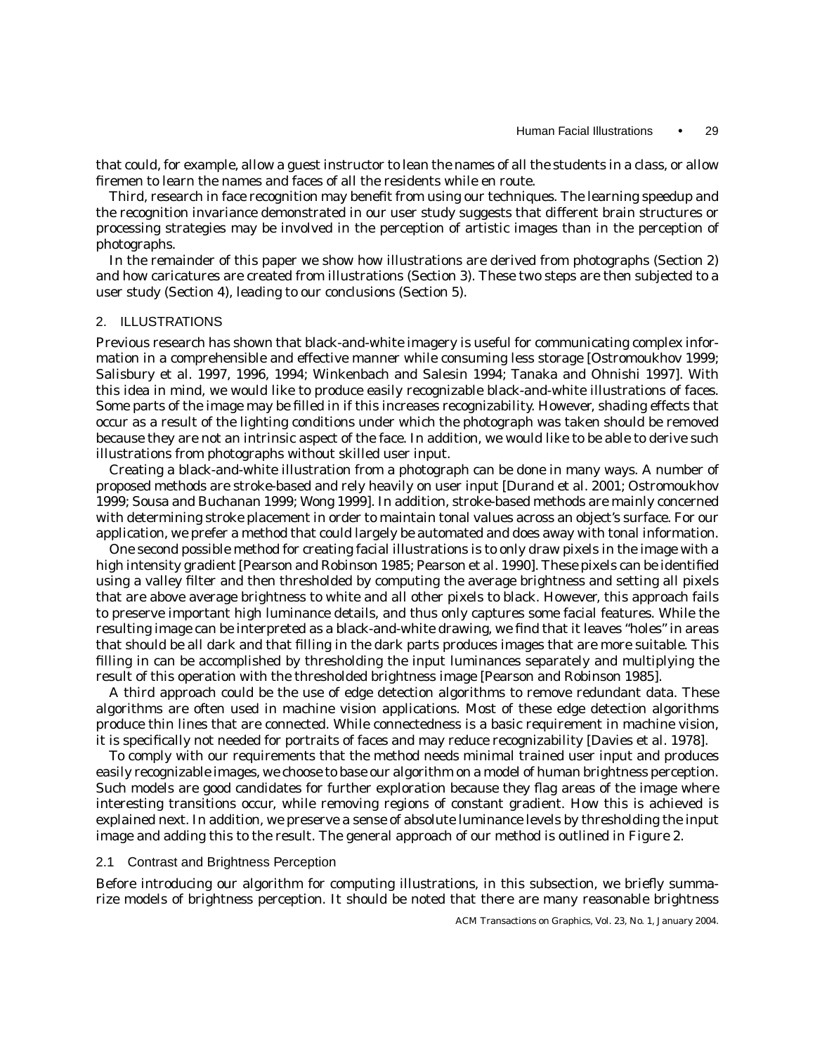that could, for example, allow a guest instructor to lean the names of all the students in a class, or allow firemen to learn the names and faces of all the residents while en route.

Third, research in face recognition may benefit from using our techniques. The learning speedup and the recognition invariance demonstrated in our user study suggests that different brain structures or processing strategies may be involved in the perception of artistic images than in the perception of photographs.

In the remainder of this paper we show how illustrations are derived from photographs (Section 2) and how caricatures are created from illustrations (Section 3). These two steps are then subjected to a user study (Section 4), leading to our conclusions (Section 5).

## 2. ILLUSTRATIONS

Previous research has shown that black-and-white imagery is useful for communicating complex information in a comprehensible and effective manner while consuming less storage [Ostromoukhov 1999; Salisbury et al. 1997, 1996, 1994; Winkenbach and Salesin 1994; Tanaka and Ohnishi 1997]. With this idea in mind, we would like to produce easily recognizable black-and-white illustrations of faces. Some parts of the image may be filled in if this increases recognizability. However, shading effects that occur as a result of the lighting conditions under which the photograph was taken should be removed because they are not an intrinsic aspect of the face. In addition, we would like to be able to derive such illustrations from photographs without skilled user input.

Creating a black-and-white illustration from a photograph can be done in many ways. A number of proposed methods are stroke-based and rely heavily on user input [Durand et al. 2001; Ostromoukhov 1999; Sousa and Buchanan 1999; Wong 1999]. In addition, stroke-based methods are mainly concerned with determining stroke placement in order to maintain tonal values across an object's surface. For our application, we prefer a method that could largely be automated and does away with tonal information.

One second possible method for creating facial illustrations is to only draw pixels in the image with a high intensity gradient [Pearson and Robinson 1985; Pearson et al. 1990]. These pixels can be identified using a valley filter and then thresholded by computing the average brightness and setting all pixels that are above average brightness to white and all other pixels to black. However, this approach fails to preserve important high luminance details, and thus only captures some facial features. While the resulting image can be interpreted as a black-and-white drawing, we find that it leaves "holes" in areas that should be all dark and that filling in the dark parts produces images that are more suitable. This filling in can be accomplished by thresholding the input luminances separately and multiplying the result of this operation with the thresholded brightness image [Pearson and Robinson 1985].

A third approach could be the use of edge detection algorithms to remove redundant data. These algorithms are often used in machine vision applications. Most of these edge detection algorithms produce thin lines that are connected. While connectedness is a basic requirement in machine vision, it is specifically not needed for portraits of faces and may reduce recognizability [Davies et al. 1978].

To comply with our requirements that the method needs minimal trained user input and produces easily recognizable images, we choose to base our algorithm on a model of human brightness perception. Such models are good candidates for further exploration because they flag areas of the image where interesting transitions occur, while removing regions of constant gradient. How this is achieved is explained next. In addition, we preserve a sense of absolute luminance levels by thresholding the input image and adding this to the result. The general approach of our method is outlined in Figure 2.

### 2.1 Contrast and Brightness Perception

Before introducing our algorithm for computing illustrations, in this subsection, we briefly summarize models of brightness perception. It should be noted that there are many reasonable brightness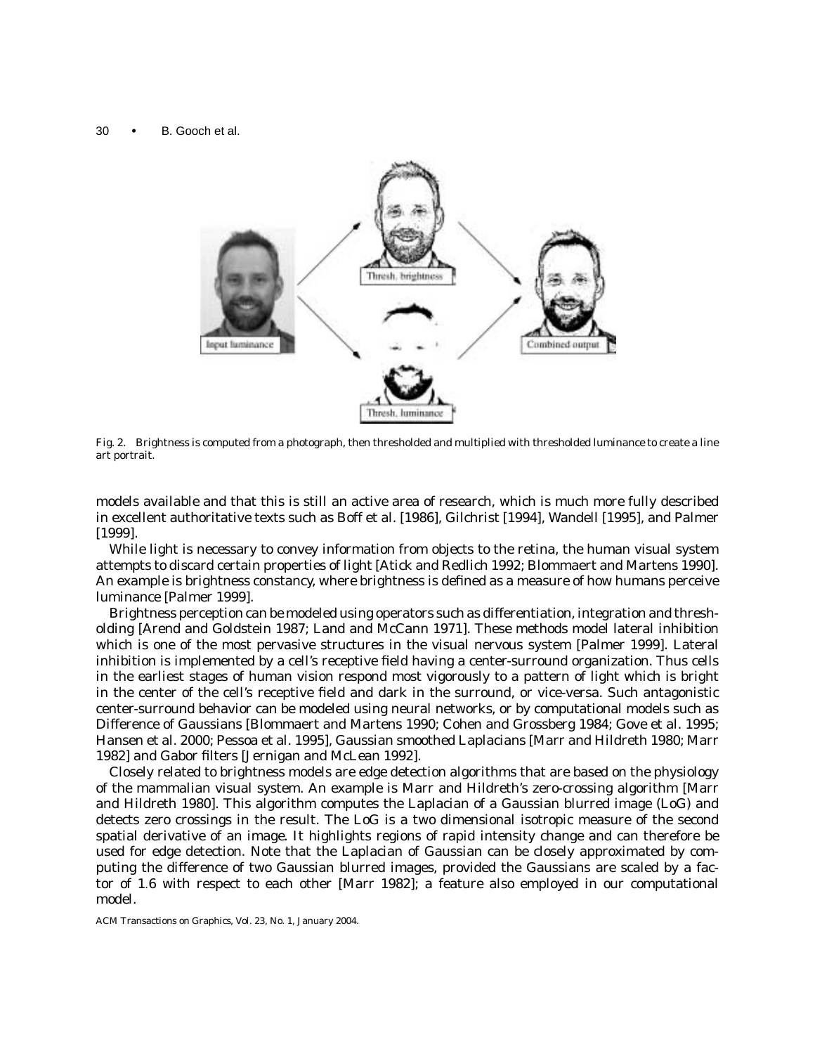

Fig. 2. Brightness is computed from a photograph, then thresholded and multiplied with thresholded luminance to create a line art portrait.

models available and that this is still an active area of research, which is much more fully described in excellent authoritative texts such as Boff et al. [1986], Gilchrist [1994], Wandell [1995], and Palmer [1999].

While light is necessary to convey information from objects to the retina, the human visual system attempts to discard certain properties of light [Atick and Redlich 1992; Blommaert and Martens 1990]. An example is brightness constancy, where brightness is defined as a measure of how humans perceive luminance [Palmer 1999].

Brightness perception can be modeled using operators such as differentiation, integration and thresholding [Arend and Goldstein 1987; Land and McCann 1971]. These methods model lateral inhibition which is one of the most pervasive structures in the visual nervous system [Palmer 1999]. Lateral inhibition is implemented by a cell's receptive field having a center-surround organization. Thus cells in the earliest stages of human vision respond most vigorously to a pattern of light which is bright in the center of the cell's receptive field and dark in the surround, or vice-versa. Such antagonistic center-surround behavior can be modeled using neural networks, or by computational models such as Difference of Gaussians [Blommaert and Martens 1990; Cohen and Grossberg 1984; Gove et al. 1995; Hansen et al. 2000; Pessoa et al. 1995], Gaussian smoothed Laplacians [Marr and Hildreth 1980; Marr 1982] and Gabor filters [Jernigan and McLean 1992].

Closely related to brightness models are edge detection algorithms that are based on the physiology of the mammalian visual system. An example is Marr and Hildreth's zero-crossing algorithm [Marr and Hildreth 1980]. This algorithm computes the Laplacian of a Gaussian blurred image (LoG) and detects zero crossings in the result. The LoG is a two dimensional isotropic measure of the second spatial derivative of an image. It highlights regions of rapid intensity change and can therefore be used for edge detection. Note that the Laplacian of Gaussian can be closely approximated by computing the difference of two Gaussian blurred images, provided the Gaussians are scaled by a factor of 1.6 with respect to each other [Marr 1982]; a feature also employed in our computational model.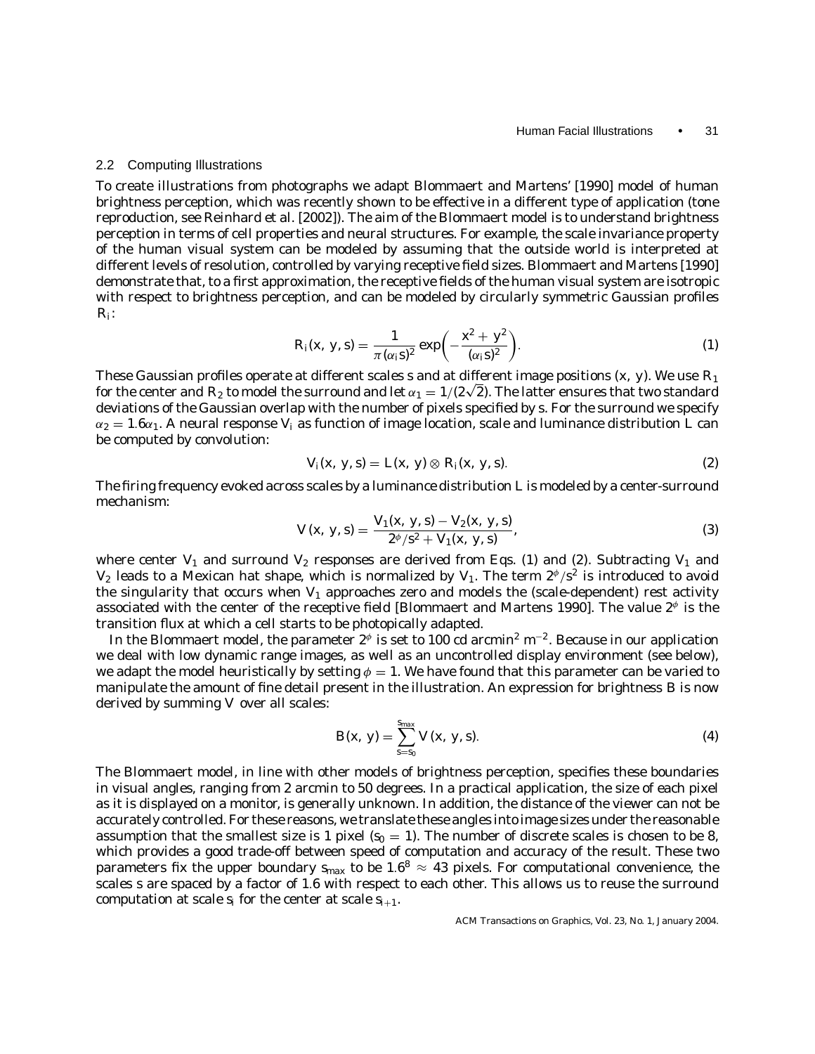#### 2.2 Computing Illustrations

To create illustrations from photographs we adapt Blommaert and Martens' [1990] model of human brightness perception, which was recently shown to be effective in a different type of application (tone reproduction, see Reinhard et al. [2002]). The aim of the Blommaert model is to understand brightness perception in terms of cell properties and neural structures. For example, the scale invariance property of the human visual system can be modeled by assuming that the outside world is interpreted at different levels of resolution, controlled by varying receptive field sizes. Blommaert and Martens [1990] demonstrate that, to a first approximation, the receptive fields of the human visual system are isotropic with respect to brightness perception, and can be modeled by circularly symmetric Gaussian profiles *Ri*:

$$
R_i(x, y, s) = \frac{1}{\pi (\alpha_i s)^2} \exp \left(-\frac{x^2 + y^2}{(\alpha_i s)^2}\right).
$$
 (1)

These Gaussian profiles operate at different scales *s* and at different image positions (*x*, *y*). We use *R*<sup>1</sup> for the center and  $R_2$  to model the surround and let  $\alpha_1 = 1/(2\sqrt{2})$ . The latter ensures that two standard deviations of the Gaussian overlap with the number of pixels specified by *s*. For the surround we specify  $\alpha_2 = 1.6\alpha_1$ . A neural response  $V_i$  as function of image location, scale and luminance distribution *L* can be computed by convolution:

$$
V_i(x, y, s) = L(x, y) \otimes R_i(x, y, s).
$$
\n
$$
(2)
$$

The firing frequency evoked across scales by a luminance distribution *L* is modeled by a center-surround mechanism:

$$
V(x, y, s) = \frac{V_1(x, y, s) - V_2(x, y, s)}{2^{\phi}/s^2 + V_1(x, y, s)},
$$
\n(3)

where center  $V_1$  and surround  $V_2$  responses are derived from Eqs. (1) and (2). Subtracting  $V_1$  and *V*<sub>2</sub> leads to a Mexican hat shape, which is normalized by *V*<sub>1</sub>. The term  $2^{\phi}/s^2$  is introduced to avoid the singularity that occurs when *V*<sub>1</sub> approaches zero and models the (scale-dependent) rest activity associated with the center of the receptive field [Blommaert and Martens 1990]. The value  $2^{\phi}$  is the transition flux at which a cell starts to be photopically adapted.

In the Blommaert model, the parameter  $2^{\phi}$  is set to 100 cd arcmin<sup>2</sup> m<sup>-2</sup>. Because in our application we deal with low dynamic range images, as well as an uncontrolled display environment (see below), we adapt the model heuristically by setting  $\phi = 1$ . We have found that this parameter can be varied to manipulate the amount of fine detail present in the illustration. An expression for brightness *B* is now derived by summing *V* over all scales:

$$
B(x, y) = \sum_{s=s_0}^{S_{max}} V(x, y, s).
$$
 (4)

The Blommaert model, in line with other models of brightness perception, specifies these boundaries in visual angles, ranging from 2 arcmin to 50 degrees. In a practical application, the size of each pixel as it is displayed on a monitor, is generally unknown. In addition, the distance of the viewer can not be accurately controlled. For these reasons, we translate these angles into image sizes under the reasonable assumption that the smallest size is 1 pixel  $(s_0 = 1)$ . The number of discrete scales is chosen to be 8, which provides a good trade-off between speed of computation and accuracy of the result. These two parameters fix the upper boundary  $s_{max}$  to be 1.6<sup>8</sup>  $\approx$  43 pixels. For computational convenience, the scales *s* are spaced by a factor of 1.6 with respect to each other. This allows us to reuse the surround computation at scale  $s_i$  for the center at scale  $s_{i+1}$ .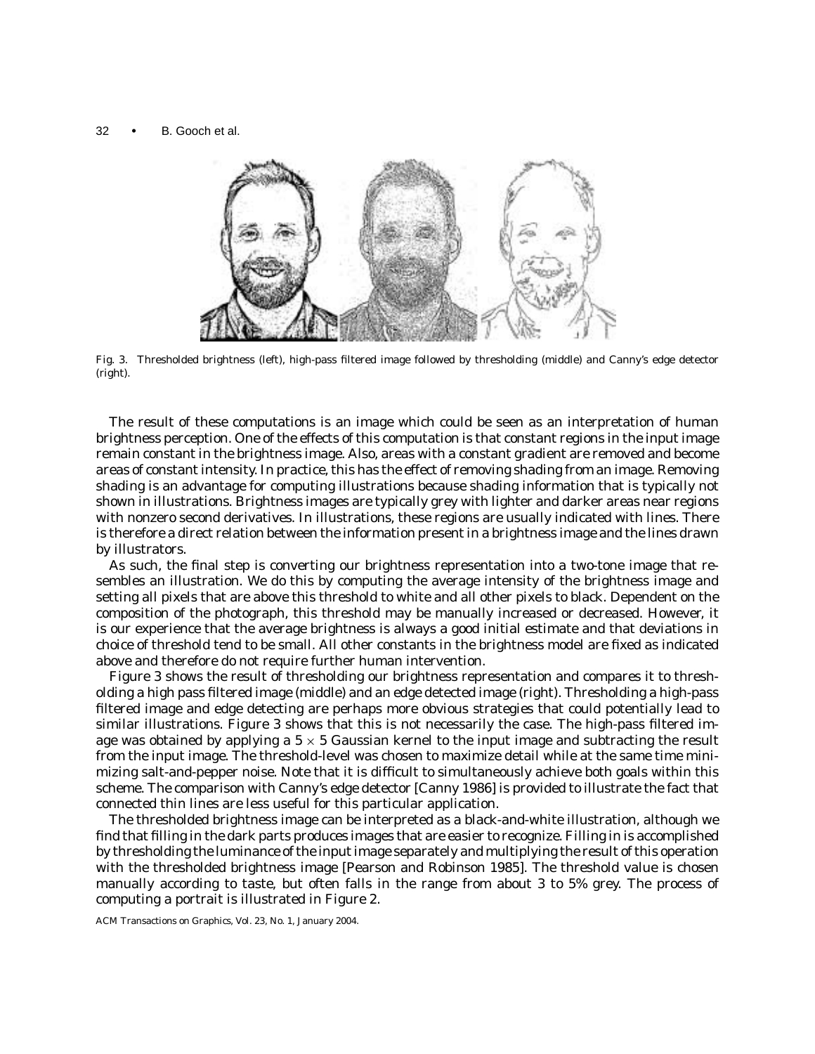

Fig. 3. Thresholded brightness (left), high-pass filtered image followed by thresholding (middle) and Canny's edge detector (right).

The result of these computations is an image which could be seen as an interpretation of human brightness perception. One of the effects of this computation is that constant regions in the input image remain constant in the brightness image. Also, areas with a constant gradient are removed and become areas of constant intensity. In practice, this has the effect of removing shading from an image. Removing shading is an advantage for computing illustrations because shading information that is typically not shown in illustrations. Brightness images are typically grey with lighter and darker areas near regions with nonzero second derivatives. In illustrations, these regions are usually indicated with lines. There is therefore a direct relation between the information present in a brightness image and the lines drawn by illustrators.

As such, the final step is converting our brightness representation into a two-tone image that resembles an illustration. We do this by computing the average intensity of the brightness image and setting all pixels that are above this threshold to white and all other pixels to black. Dependent on the composition of the photograph, this threshold may be manually increased or decreased. However, it is our experience that the average brightness is always a good initial estimate and that deviations in choice of threshold tend to be small. All other constants in the brightness model are fixed as indicated above and therefore do not require further human intervention.

Figure 3 shows the result of thresholding our brightness representation and compares it to thresholding a high pass filtered image (middle) and an edge detected image (right). Thresholding a high-pass filtered image and edge detecting are perhaps more obvious strategies that could potentially lead to similar illustrations. Figure 3 shows that this is not necessarily the case. The high-pass filtered image was obtained by applying a  $5 \times 5$  Gaussian kernel to the input image and subtracting the result from the input image. The threshold-level was chosen to maximize detail while at the same time minimizing salt-and-pepper noise. Note that it is difficult to simultaneously achieve both goals within this scheme. The comparison with Canny's edge detector [Canny 1986] is provided to illustrate the fact that connected thin lines are less useful for this particular application.

The thresholded brightness image can be interpreted as a black-and-white illustration, although we find that filling in the dark parts produces images that are easier to recognize. Filling in is accomplished by thresholding the luminance of the input image separately and multiplying the result of this operation with the thresholded brightness image [Pearson and Robinson 1985]. The threshold value is chosen manually according to taste, but often falls in the range from about 3 to 5% grey. The process of computing a portrait is illustrated in Figure 2.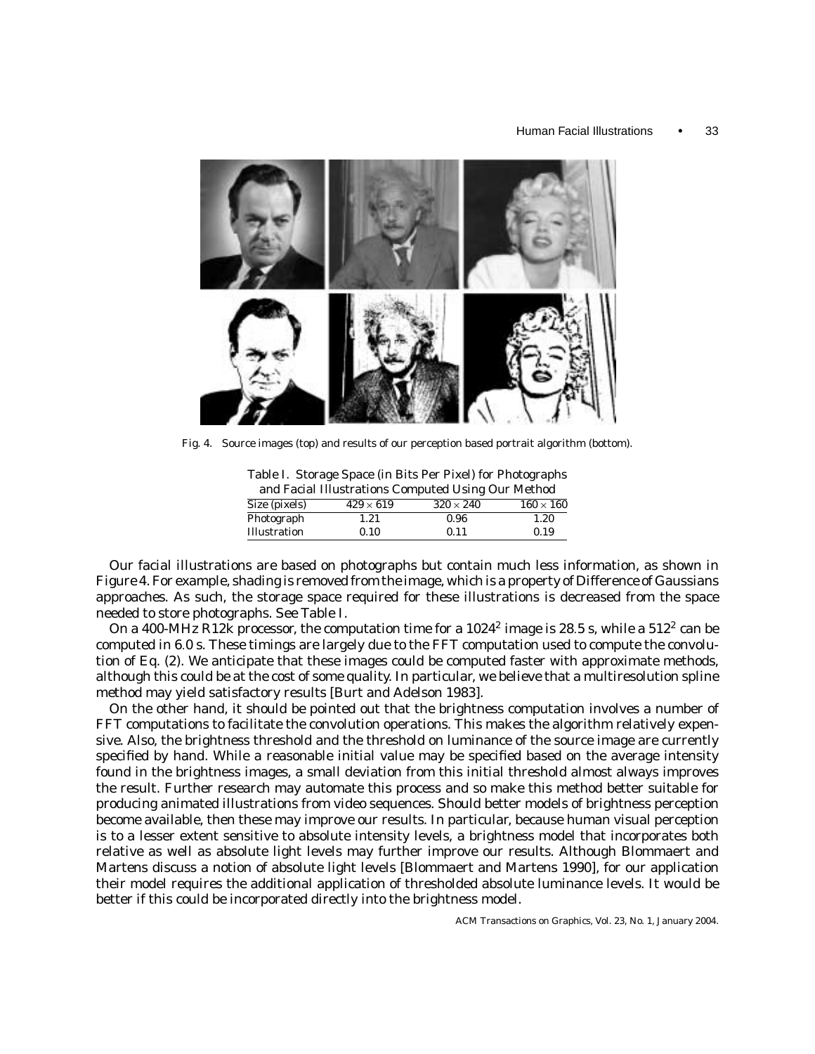

Fig. 4. Source images (top) and results of our perception based portrait algorithm (bottom).

Table I. Storage Space (in Bits Per Pixel) for Photographs and Facial Illustrations Computed Using Our Method

| and racial must attons Computed Using Our Method |                |                  |                |  |
|--------------------------------------------------|----------------|------------------|----------------|--|
| Size (pixels)                                    | $429\times619$ | $320 \times 240$ | $160\times160$ |  |
| Photograph                                       | 1.21           | 0.96             | 1.20           |  |
| Illustration                                     | 0.10           | 0.11             | 0.19           |  |

Our facial illustrations are based on photographs but contain much less information, as shown in Figure 4. For example, shading is removed from the image, which is a property of Difference of Gaussians approaches. As such, the storage space required for these illustrations is decreased from the space needed to store photographs. See Table I.

On a 400-MHz R12k processor, the computation time for a  $1024^2$  image is 28.5 s, while a  $512^2$  can be computed in 6.0 s. These timings are largely due to the FFT computation used to compute the convolution of Eq. (2). We anticipate that these images could be computed faster with approximate methods, although this could be at the cost of some quality. In particular, we believe that a multiresolution spline method may yield satisfactory results [Burt and Adelson 1983].

On the other hand, it should be pointed out that the brightness computation involves a number of FFT computations to facilitate the convolution operations. This makes the algorithm relatively expensive. Also, the brightness threshold and the threshold on luminance of the source image are currently specified by hand. While a reasonable initial value may be specified based on the average intensity found in the brightness images, a small deviation from this initial threshold almost always improves the result. Further research may automate this process and so make this method better suitable for producing animated illustrations from video sequences. Should better models of brightness perception become available, then these may improve our results. In particular, because human visual perception is to a lesser extent sensitive to absolute intensity levels, a brightness model that incorporates both relative as well as absolute light levels may further improve our results. Although Blommaert and Martens discuss a notion of absolute light levels [Blommaert and Martens 1990], for our application their model requires the additional application of thresholded absolute luminance levels. It would be better if this could be incorporated directly into the brightness model.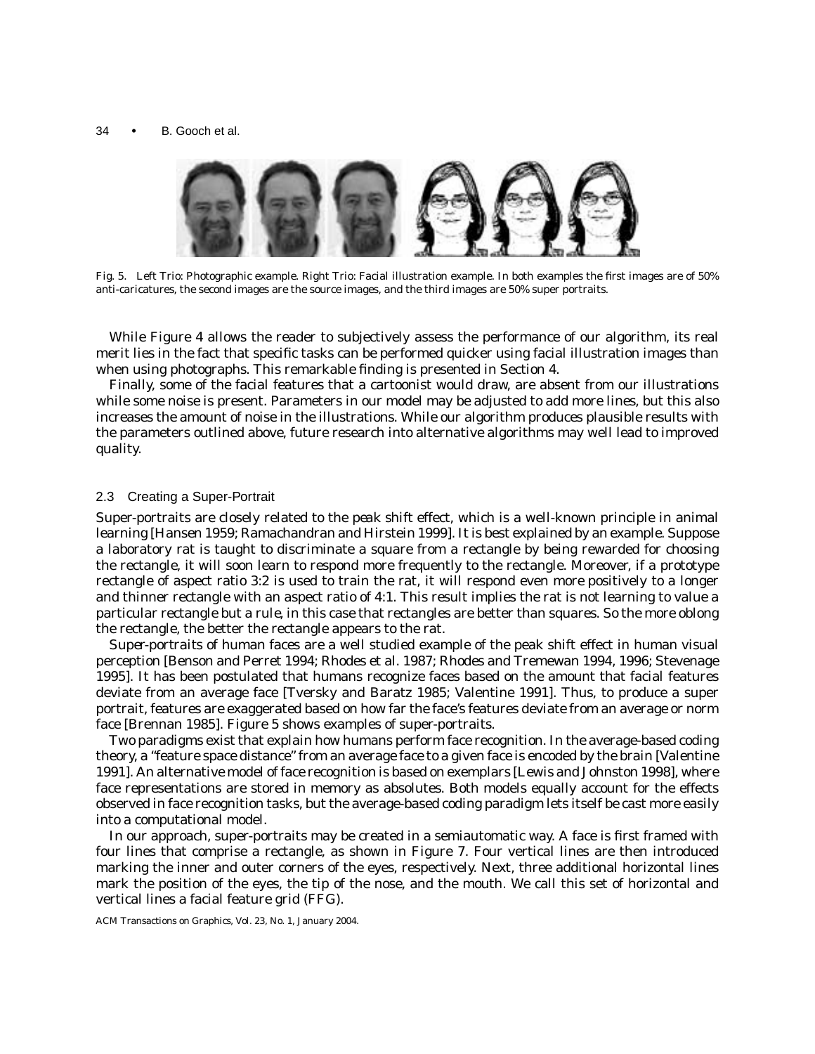

Fig. 5. Left Trio: Photographic example. Right Trio: Facial illustration example. In both examples the first images are of 50% anti-caricatures, the second images are the source images, and the third images are 50% super portraits.

While Figure 4 allows the reader to subjectively assess the performance of our algorithm, its real merit lies in the fact that specific tasks can be performed quicker using facial illustration images than when using photographs. This remarkable finding is presented in Section 4.

Finally, some of the facial features that a cartoonist would draw, are absent from our illustrations while some noise is present. Parameters in our model may be adjusted to add more lines, but this also increases the amount of noise in the illustrations. While our algorithm produces plausible results with the parameters outlined above, future research into alternative algorithms may well lead to improved quality.

# 2.3 Creating a Super-Portrait

Super-portraits are closely related to the *peak shift* effect, which is a well-known principle in animal learning [Hansen 1959; Ramachandran and Hirstein 1999]. It is best explained by an example. Suppose a laboratory rat is taught to discriminate a square from a rectangle by being rewarded for choosing the rectangle, it will soon learn to respond more frequently to the rectangle. Moreover, if a prototype rectangle of aspect ratio 3:2 is used to train the rat, it will respond even *more* positively to a longer and thinner rectangle with an aspect ratio of 4:1. This result implies the rat is not learning to value a particular rectangle but a *rule*, in this case that rectangles are better than squares. So the more oblong the rectangle, the better the rectangle appears to the rat.

*Super-portraits* of human faces are a well studied example of the peak shift effect in human visual perception [Benson and Perret 1994; Rhodes et al. 1987; Rhodes and Tremewan 1994, 1996; Stevenage 1995]. It has been postulated that humans recognize faces based on the amount that facial features deviate from an average face [Tversky and Baratz 1985; Valentine 1991]. Thus, to produce a super portrait, features are exaggerated based on how far the face's features deviate from an average or norm face [Brennan 1985]. Figure 5 shows examples of super-portraits.

Two paradigms exist that explain how humans perform face recognition. In the average-based coding theory, a "feature space distance" from an average face to a given face is encoded by the brain [Valentine 1991]. An alternative model of face recognition is based on exemplars [Lewis and Johnston 1998], where face representations are stored in memory as absolutes. Both models equally account for the effects observed in face recognition tasks, but the average-based coding paradigm lets itself be cast more easily into a computational model.

In our approach, super-portraits may be created in a semiautomatic way. A face is first framed with four lines that comprise a rectangle, as shown in Figure 7. Four vertical lines are then introduced marking the inner and outer corners of the eyes, respectively. Next, three additional horizontal lines mark the position of the eyes, the tip of the nose, and the mouth. We call this set of horizontal and vertical lines a facial feature grid (FFG).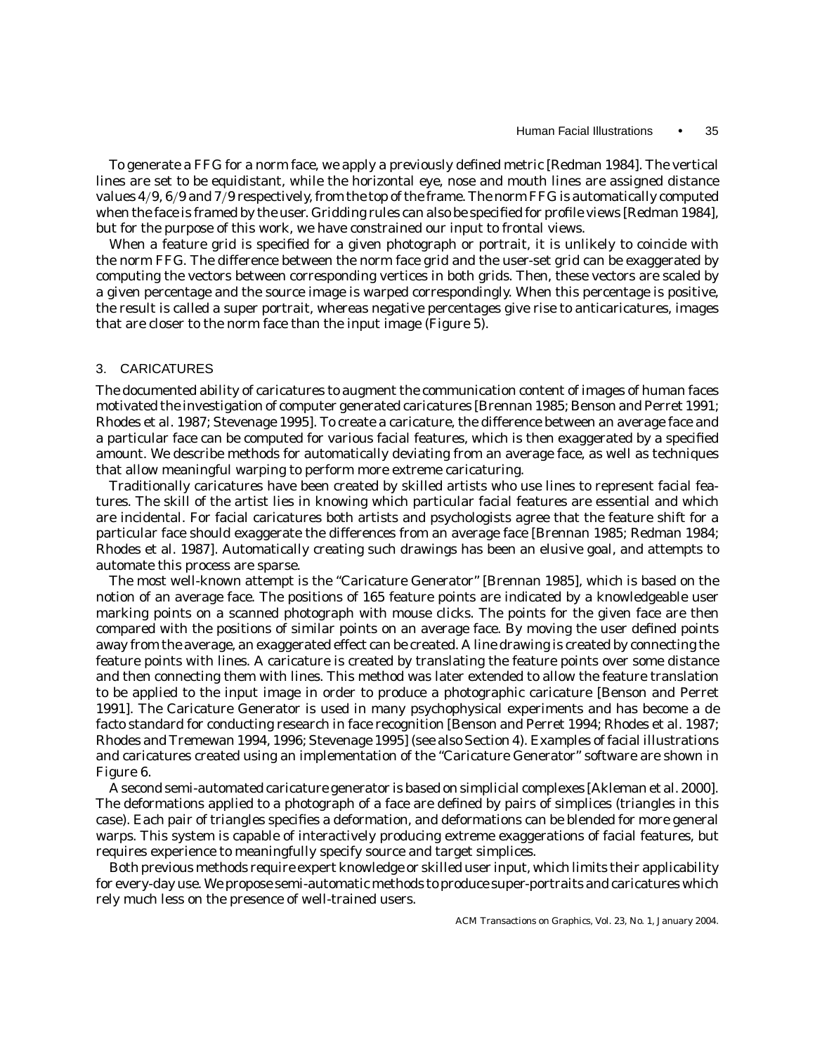To generate a FFG for a norm face, we apply a previously defined metric [Redman 1984]. The vertical lines are set to be equidistant, while the horizontal eye, nose and mouth lines are assigned distance values 4/9, 6/9 and 7/9 respectively, from the top of the frame. The norm FFG is automatically computed when the face is framed by the user. Gridding rules can also be specified for profile views [Redman 1984], but for the purpose of this work, we have constrained our input to frontal views.

When a feature grid is specified for a given photograph or portrait, it is unlikely to coincide with the norm FFG. The difference between the norm face grid and the user-set grid can be exaggerated by computing the vectors between corresponding vertices in both grids. Then, these vectors are scaled by a given percentage and the source image is warped correspondingly. When this percentage is positive, the result is called a super portrait, whereas negative percentages give rise to anticaricatures, images that are closer to the norm face than the input image (Figure 5).

# 3. CARICATURES

The documented ability of caricatures to augment the communication content of images of human faces motivated the investigation of computer generated caricatures [Brennan 1985; Benson and Perret 1991; Rhodes et al. 1987; Stevenage 1995]. To create a caricature, the difference between an average face and a particular face can be computed for various facial features, which is then exaggerated by a specified amount. We describe methods for automatically deviating from an average face, as well as techniques that allow meaningful warping to perform more extreme caricaturing.

Traditionally caricatures have been created by skilled artists who use lines to represent facial features. The skill of the artist lies in knowing which particular facial features are essential and which are incidental. For facial caricatures both artists and psychologists agree that the feature shift for a particular face should exaggerate the differences from an average face [Brennan 1985; Redman 1984; Rhodes et al. 1987]. Automatically creating such drawings has been an elusive goal, and attempts to automate this process are sparse.

The most well-known attempt is the "Caricature Generator" [Brennan 1985], which is based on the notion of an average face. The positions of 165 feature points are indicated by a knowledgeable user marking points on a scanned photograph with mouse clicks. The points for the given face are then compared with the positions of similar points on an average face. By moving the user defined points away from the average, an exaggerated effect can be created. A line drawing is created by connecting the feature points with lines. A caricature is created by translating the feature points over some distance and then connecting them with lines. This method was later extended to allow the feature translation to be applied to the input image in order to produce a photographic caricature [Benson and Perret 1991]. The Caricature Generator is used in many psychophysical experiments and has become a *de facto* standard for conducting research in face recognition [Benson and Perret 1994; Rhodes et al. 1987; Rhodes and Tremewan 1994, 1996; Stevenage 1995] (see also Section 4). Examples of facial illustrations and caricatures created using an implementation of the "Caricature Generator" software are shown in Figure 6.

A second semi-automated caricature generator is based on simplicial complexes [Akleman et al. 2000]. The deformations applied to a photograph of a face are defined by pairs of simplices (triangles in this case). Each pair of triangles specifies a deformation, and deformations can be blended for more general warps. This system is capable of interactively producing extreme exaggerations of facial features, but requires experience to meaningfully specify source and target simplices.

Both previous methods require expert knowledge or skilled user input, which limits their applicability for every-day use. We propose semi-automatic methods to produce super-portraits and caricatures which rely much less on the presence of well-trained users.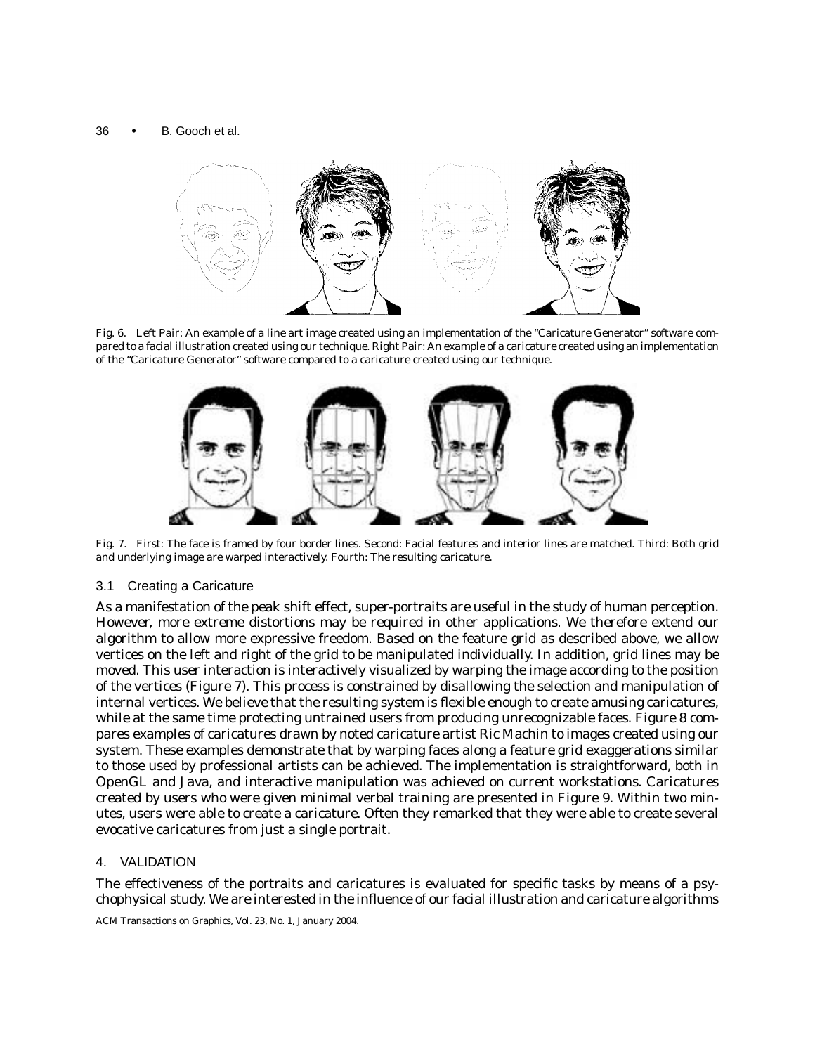

Fig. 6. Left Pair: An example of a line art image created using an implementation of the "Caricature Generator" software compared to a facial illustration created using our technique. Right Pair: An example of a caricature created using an implementation of the "Caricature Generator" software compared to a caricature created using our technique.



Fig. 7. First: The face is framed by four border lines. Second: Facial features and interior lines are matched. Third: Both grid and underlying image are warped interactively. Fourth: The resulting caricature.

# 3.1 Creating a Caricature

As a manifestation of the peak shift effect, super-portraits are useful in the study of human perception. However, more extreme distortions may be required in other applications. We therefore extend our algorithm to allow more expressive freedom. Based on the feature grid as described above, we allow vertices on the left and right of the grid to be manipulated individually. In addition, grid lines may be moved. This user interaction is interactively visualized by warping the image according to the position of the vertices (Figure 7). This process is constrained by disallowing the selection and manipulation of internal vertices. We believe that the resulting system is flexible enough to create amusing caricatures, while at the same time protecting untrained users from producing unrecognizable faces. Figure 8 compares examples of caricatures drawn by noted caricature artist Ric Machin to images created using our system. These examples demonstrate that by warping faces along a feature grid exaggerations similar to those used by professional artists can be achieved. The implementation is straightforward, both in OpenGL and Java, and interactive manipulation was achieved on current workstations. Caricatures created by users who were given minimal verbal training are presented in Figure 9. Within two minutes, users were able to create a caricature. Often they remarked that they were able to create several evocative caricatures from just a single portrait.

# 4. VALIDATION

The effectiveness of the portraits and caricatures is evaluated for specific tasks by means of a psychophysical study. We are interested in the influence of our facial illustration and caricature algorithms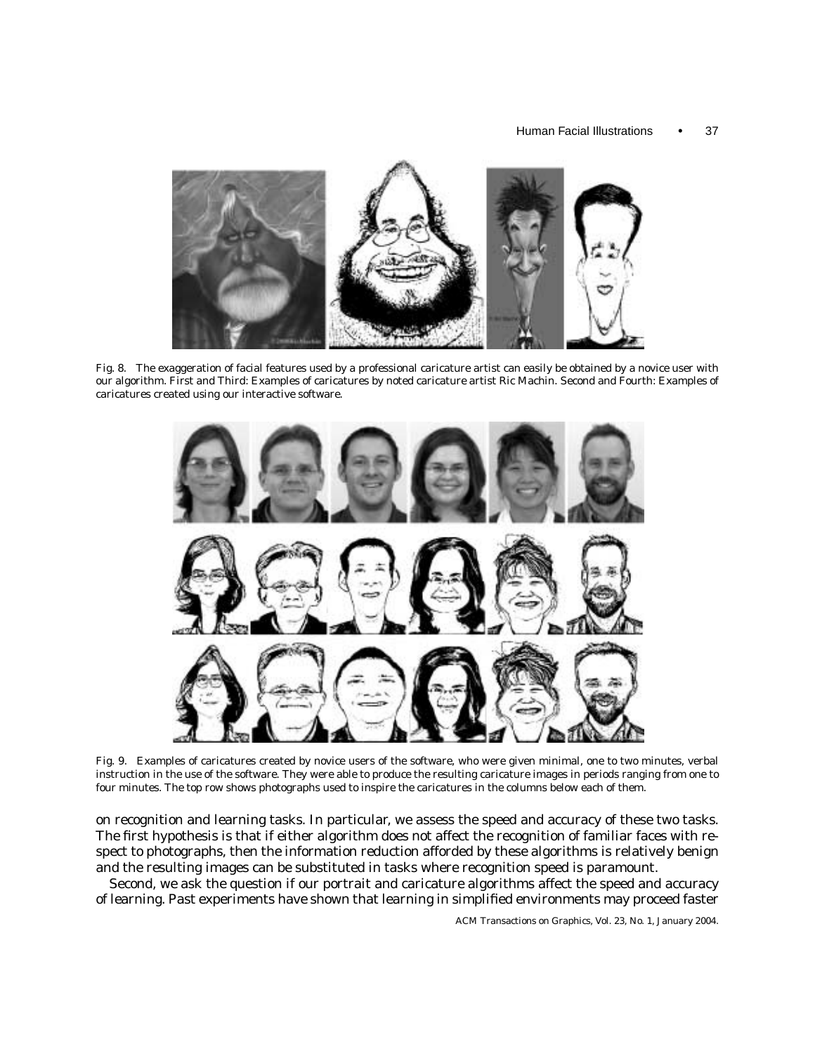

Fig. 8. The exaggeration of facial features used by a professional caricature artist can easily be obtained by a novice user with our algorithm. First and Third: Examples of caricatures by noted caricature artist Ric Machin. Second and Fourth: Examples of caricatures created using our interactive software.



Fig. 9. Examples of caricatures created by novice users of the software, who were given minimal, one to two minutes, verbal instruction in the use of the software. They were able to produce the resulting caricature images in periods ranging from one to four minutes. The top row shows photographs used to inspire the caricatures in the columns below each of them.

on recognition and learning tasks. In particular, we assess the speed and accuracy of these two tasks. The first hypothesis is that if either algorithm does not affect the recognition of familiar faces with respect to photographs, then the information reduction afforded by these algorithms is relatively benign and the resulting images can be substituted in tasks where recognition speed is paramount.

Second, we ask the question if our portrait and caricature algorithms affect the speed and accuracy of learning. Past experiments have shown that learning in simplified environments may proceed faster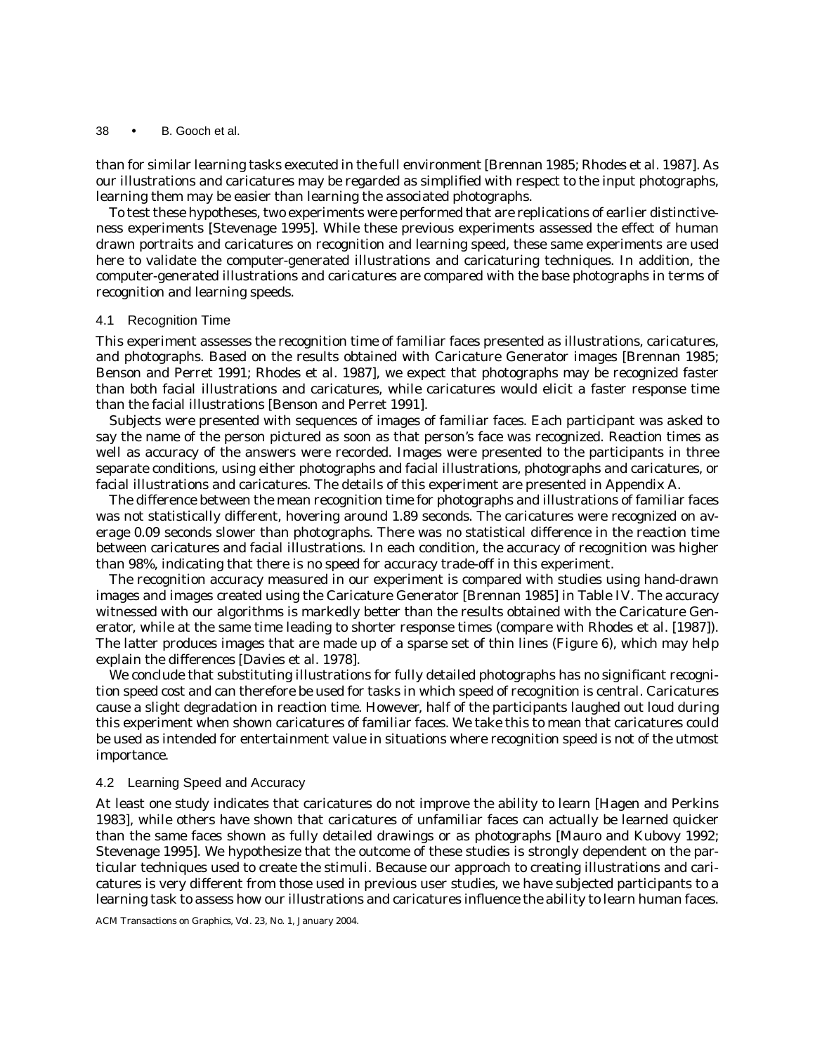than for similar learning tasks executed in the full environment [Brennan 1985; Rhodes et al. 1987]. As our illustrations and caricatures may be regarded as simplified with respect to the input photographs, learning them may be easier than learning the associated photographs.

To test these hypotheses, two experiments were performed that are replications of earlier distinctiveness experiments [Stevenage 1995]. While these previous experiments assessed the effect of human drawn portraits and caricatures on recognition and learning speed, these same experiments are used here to validate the computer-generated illustrations and caricaturing techniques. In addition, the computer-generated illustrations and caricatures are compared with the base photographs in terms of recognition and learning speeds.

#### 4.1 Recognition Time

This experiment assesses the recognition time of familiar faces presented as illustrations, caricatures, and photographs. Based on the results obtained with Caricature Generator images [Brennan 1985; Benson and Perret 1991; Rhodes et al. 1987], we expect that photographs may be recognized faster than both facial illustrations and caricatures, while caricatures would elicit a faster response time than the facial illustrations [Benson and Perret 1991].

Subjects were presented with sequences of images of familiar faces. Each participant was asked to say the name of the person pictured as soon as that person's face was recognized. Reaction times as well as accuracy of the answers were recorded. Images were presented to the participants in three separate conditions, using either photographs and facial illustrations, photographs and caricatures, or facial illustrations and caricatures. The details of this experiment are presented in Appendix A.

The difference between the mean recognition time for photographs and illustrations of familiar faces was not statistically different, hovering around 1.89 seconds. The caricatures were recognized on average 0.09 seconds slower than photographs. There was no statistical difference in the reaction time between caricatures and facial illustrations. In each condition, the accuracy of recognition was higher than 98%, indicating that there is no speed for accuracy trade-off in this experiment.

The recognition accuracy measured in our experiment is compared with studies using hand-drawn images and images created using the Caricature Generator [Brennan 1985] in Table IV. The accuracy witnessed with our algorithms is markedly better than the results obtained with the Caricature Generator, while at the same time leading to shorter response times (compare with Rhodes et al. [1987]). The latter produces images that are made up of a sparse set of thin lines (Figure 6), which may help explain the differences [Davies et al. 1978].

We conclude that substituting illustrations for fully detailed photographs has no significant recognition speed cost and can therefore be used for tasks in which speed of recognition is central. Caricatures cause a slight degradation in reaction time. However, half of the participants laughed out loud during this experiment when shown caricatures of familiar faces. We take this to mean that caricatures could be used as intended for entertainment value in situations where recognition speed is not of the utmost importance.

# 4.2 Learning Speed and Accuracy

At least one study indicates that caricatures do not improve the ability to learn [Hagen and Perkins 1983], while others have shown that caricatures of unfamiliar faces can actually be learned quicker than the same faces shown as fully detailed drawings or as photographs [Mauro and Kubovy 1992; Stevenage 1995]. We hypothesize that the outcome of these studies is strongly dependent on the particular techniques used to create the stimuli. Because our approach to creating illustrations and caricatures is very different from those used in previous user studies, we have subjected participants to a learning task to assess how our illustrations and caricatures influence the ability to learn human faces.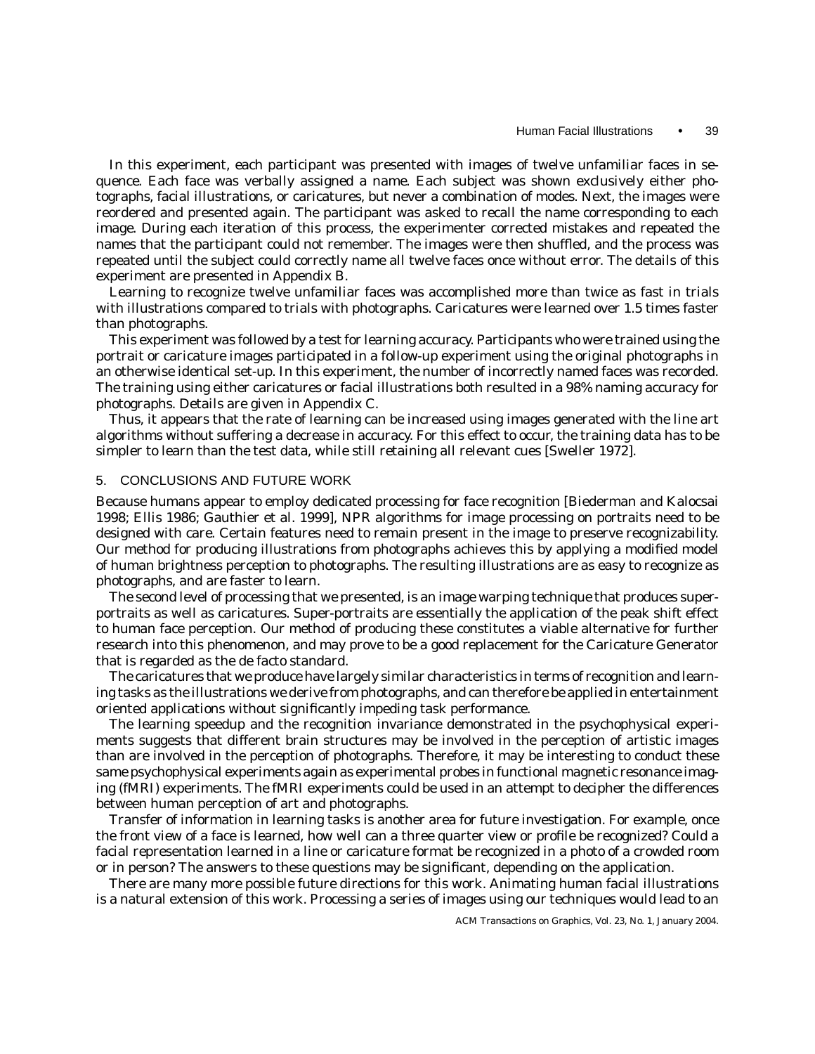In this experiment, each participant was presented with images of twelve unfamiliar faces in sequence. Each face was verbally assigned a name. Each subject was shown exclusively either photographs, facial illustrations, or caricatures, but never a combination of modes. Next, the images were reordered and presented again. The participant was asked to recall the name corresponding to each image. During each iteration of this process, the experimenter corrected mistakes and repeated the names that the participant could not remember. The images were then shuffled, and the process was repeated until the subject could correctly name all twelve faces once without error. The details of this experiment are presented in Appendix B.

Learning to recognize twelve unfamiliar faces was accomplished more than twice as fast in trials with illustrations compared to trials with photographs. Caricatures were learned over 1.5 times faster than photographs.

This experiment was followed by a test for learning accuracy. Participants who were trained using the portrait or caricature images participated in a follow-up experiment using the original photographs in an otherwise identical set-up. In this experiment, the number of incorrectly named faces was recorded. The training using either caricatures or facial illustrations both resulted in a 98% naming accuracy for photographs. Details are given in Appendix C.

Thus, it appears that the rate of learning can be increased using images generated with the line art algorithms without suffering a decrease in accuracy. For this effect to occur, the training data has to be simpler to learn than the test data, while still retaining all relevant cues [Sweller 1972].

#### 5. CONCLUSIONS AND FUTURE WORK

Because humans appear to employ dedicated processing for face recognition [Biederman and Kalocsai 1998; Ellis 1986; Gauthier et al. 1999], NPR algorithms for image processing on portraits need to be designed with care. Certain features need to remain present in the image to preserve recognizability. Our method for producing illustrations from photographs achieves this by applying a modified model of human brightness perception to photographs. The resulting illustrations are as easy to recognize as photographs, and are faster to learn.

The second level of processing that we presented, is an image warping technique that produces superportraits as well as caricatures. Super-portraits are essentially the application of the peak shift effect to human face perception. Our method of producing these constitutes a viable alternative for further research into this phenomenon, and may prove to be a good replacement for the Caricature Generator that is regarded as the de facto standard.

The caricatures that we produce have largely similar characteristics in terms of recognition and learning tasks as the illustrations we derive from photographs, and can therefore be applied in entertainment oriented applications without significantly impeding task performance.

The learning speedup and the recognition invariance demonstrated in the psychophysical experiments suggests that different brain structures may be involved in the perception of artistic images than are involved in the perception of photographs. Therefore, it may be interesting to conduct these same psychophysical experiments again as experimental probes in functional magnetic resonance imaging (fMRI) experiments. The fMRI experiments could be used in an attempt to decipher the differences between human perception of art and photographs.

Transfer of information in learning tasks is another area for future investigation. For example, once the front view of a face is learned, how well can a three quarter view or profile be recognized? Could a facial representation learned in a line or caricature format be recognized in a photo of a crowded room or in person? The answers to these questions may be significant, depending on the application.

There are many more possible future directions for this work. Animating human facial illustrations is a natural extension of this work. Processing a series of images using our techniques would lead to an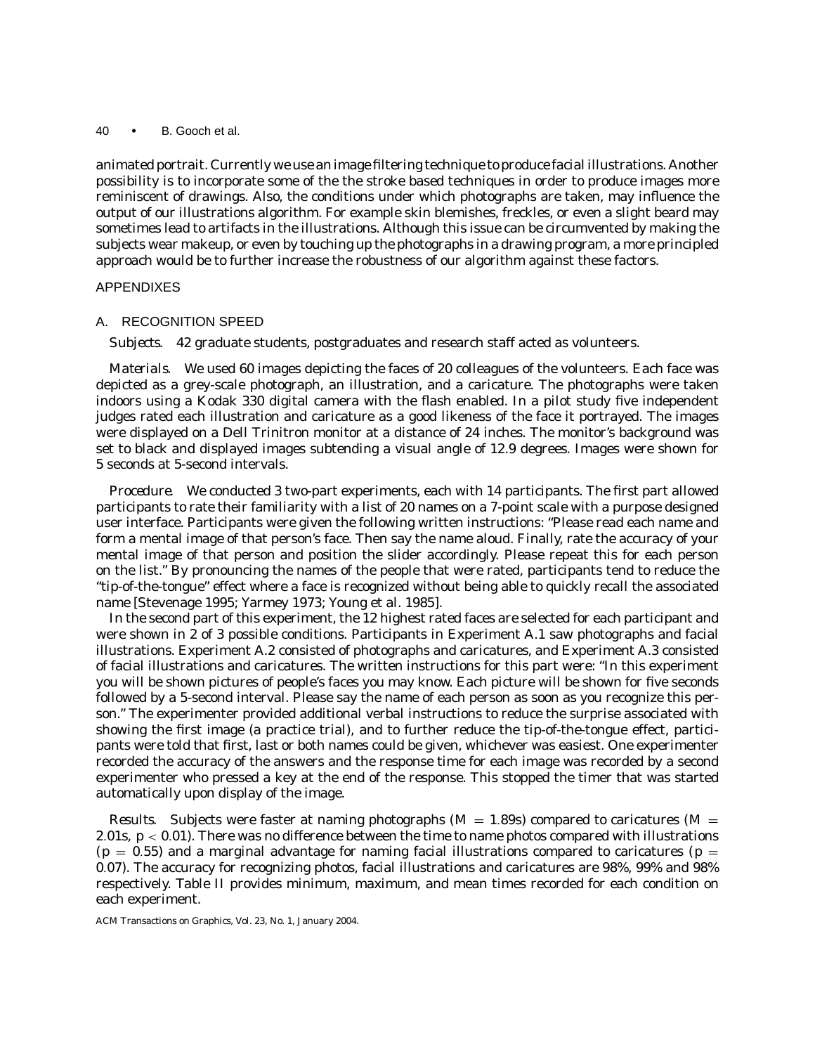animated portrait. Currently we use an image filtering technique to produce facial illustrations. Another possibility is to incorporate some of the the stroke based techniques in order to produce images more reminiscent of drawings. Also, the conditions under which photographs are taken, may influence the output of our illustrations algorithm. For example skin blemishes, freckles, or even a slight beard may sometimes lead to artifacts in the illustrations. Although this issue can be circumvented by making the subjects wear makeup, or even by touching up the photographs in a drawing program, a more principled approach would be to further increase the robustness of our algorithm against these factors.

# APPENDIXES

### A. RECOGNITION SPEED

*Subjects.* 42 graduate students, postgraduates and research staff acted as volunteers.

*Materials.* We used 60 images depicting the faces of 20 colleagues of the volunteers. Each face was depicted as a grey-scale photograph, an illustration, and a caricature. The photographs were taken indoors using a Kodak 330 digital camera with the flash enabled. In a pilot study five independent judges rated each illustration and caricature as a good likeness of the face it portrayed. The images were displayed on a Dell Trinitron monitor at a distance of 24 inches. The monitor's background was set to black and displayed images subtending a visual angle of 12.9 degrees. Images were shown for 5 seconds at 5-second intervals.

*Procedure.* We conducted 3 two-part experiments, each with 14 participants. The first part allowed participants to rate their familiarity with a list of 20 names on a 7-point scale with a purpose designed user interface. Participants were given the following written instructions: "Please read each name and form a mental image of that person's face. Then say the name aloud. Finally, rate the accuracy of your mental image of that person and position the slider accordingly. Please repeat this for each person on the list." By pronouncing the names of the people that were rated, participants tend to reduce the "tip-of-the-tongue" effect where a face is recognized without being able to quickly recall the associated name [Stevenage 1995; Yarmey 1973; Young et al. 1985].

In the second part of this experiment, the 12 highest rated faces are selected for each participant and were shown in 2 of 3 possible conditions. Participants in Experiment A.1 saw photographs and facial illustrations. Experiment A.2 consisted of photographs and caricatures, and Experiment A.3 consisted of facial illustrations and caricatures. The written instructions for this part were: "In this experiment you will be shown pictures of people's faces you may know. Each picture will be shown for five seconds followed by a 5-second interval. Please say the name of each person as soon as you recognize this person." The experimenter provided additional verbal instructions to reduce the surprise associated with showing the first image (a practice trial), and to further reduce the tip-of-the-tongue effect, participants were told that first, last or both names could be given, whichever was easiest. One experimenter recorded the accuracy of the answers and the response time for each image was recorded by a second experimenter who pressed a key at the end of the response. This stopped the timer that was started automatically upon display of the image.

*Results.* Subjects were faster at naming photographs ( $M = 1.89$ s) compared to caricatures ( $M = 1.89$ s) 2.01s,  $p < 0.01$ ). There was no difference between the time to name photos compared with illustrations  $(p = 0.55)$  and a marginal advantage for naming facial illustrations compared to caricatures ( $p =$ 0.07). The accuracy for recognizing photos, facial illustrations and caricatures are 98%, 99% and 98% respectively. Table II provides minimum, maximum, and mean times recorded for each condition on each experiment.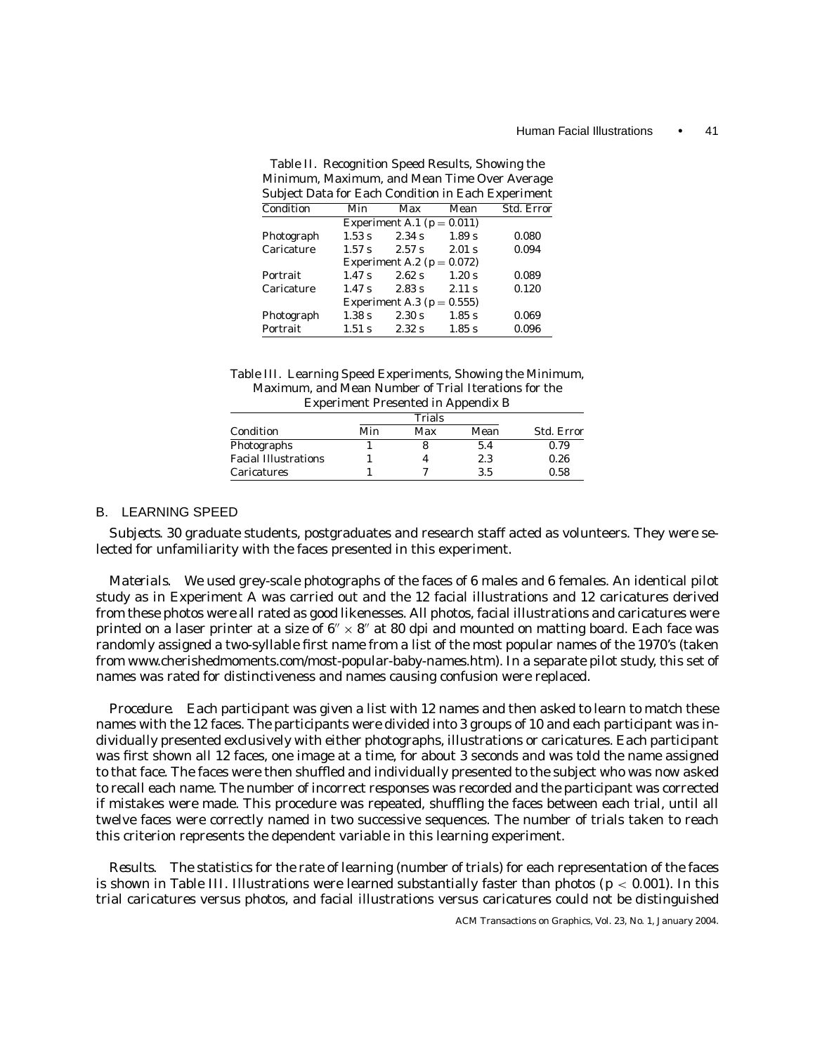| Minimum, Maximum, and Mean Time Over Average              |                   |                                |          |            |
|-----------------------------------------------------------|-------------------|--------------------------------|----------|------------|
| <b>Subject Data for Each Condition in Each Experiment</b> |                   |                                |          |            |
| Condition                                                 | Min               | Max                            | Mean     | Std. Error |
|                                                           |                   | Experiment A.1 ( $p = 0.011$ ) |          |            |
| Photograph                                                | 1.53 s            | 2.34 s                         | 1.89 s   | 0.080      |
| Caricature                                                | 1.57 <sub>s</sub> | 2.57 s                         | $2.01$ s | 0.094      |
|                                                           |                   | Experiment A.2 ( $p = 0.072$ ) |          |            |
| Portrait                                                  | 1.47 s            | 2.62 s                         | 1.20 s   | 0.089      |
| Caricature                                                | 1.47 s            | 2.83 s                         | 2.11 s   | 0.120      |
|                                                           |                   | Experiment A.3 ( $p = 0.555$ ) |          |            |
| Photograph                                                | 1.38 s            | 2.30 s                         | 1.85 s   | 0.069      |
| Portrait                                                  | $1.51$ s          | 2.32 s                         | 1.85 s   | 0.096      |

Table II. Recognition Speed Results, Showing the Minimum, Maximum, and Mean Time Over Average

| Table III. Learning Speed Experiments, Showing the Minimum, |
|-------------------------------------------------------------|
| Maximum, and Mean Number of Trial Iterations for the        |
| <b>Experiment Presented in Appendix B</b>                   |

|                             | Trials |     |      |                   |
|-----------------------------|--------|-----|------|-------------------|
| Condition                   | Min    | Max | Mean | <b>Std. Error</b> |
| Photographs                 |        |     | 5.4  | 0.79              |
| <b>Facial Illustrations</b> |        |     | 2.3  | 0.26              |
| Caricatures                 |        |     | 3.5  | 0.58              |

# B. LEARNING SPEED

*Subjects.* 30 graduate students, postgraduates and research staff acted as volunteers. They were selected for unfamiliarity with the faces presented in this experiment.

*Materials.* We used grey-scale photographs of the faces of 6 males and 6 females. An identical pilot study as in Experiment A was carried out and the 12 facial illustrations and 12 caricatures derived from these photos were all rated as good likenesses. All photos, facial illustrations and caricatures were printed on a laser printer at a size of  $6'' \times 8''$  at 80 dpi and mounted on matting board. Each face was randomly assigned a two-syllable first name from a list of the most popular names of the 1970's (taken from www.cherishedmoments.com/most-popular-baby-names.htm). In a separate pilot study, this set of names was rated for distinctiveness and names causing confusion were replaced.

*Procedure.* Each participant was given a list with 12 names and then asked to learn to match these names with the 12 faces. The participants were divided into 3 groups of 10 and each participant was individually presented exclusively with either photographs, illustrations or caricatures. Each participant was first shown all 12 faces, one image at a time, for about 3 seconds and was told the name assigned to that face. The faces were then shuffled and individually presented to the subject who was now asked to recall each name. The number of incorrect responses was recorded and the participant was corrected if mistakes were made. This procedure was repeated, shuffling the faces between each trial, until all twelve faces were correctly named in two successive sequences. The number of trials taken to reach this criterion represents the dependent variable in this learning experiment.

*Results.* The statistics for the rate of learning (number of trials) for each representation of the faces is shown in Table III. Illustrations were learned substantially faster than photos ( $p < 0.001$ ). In this trial caricatures versus photos, and facial illustrations versus caricatures could not be distinguished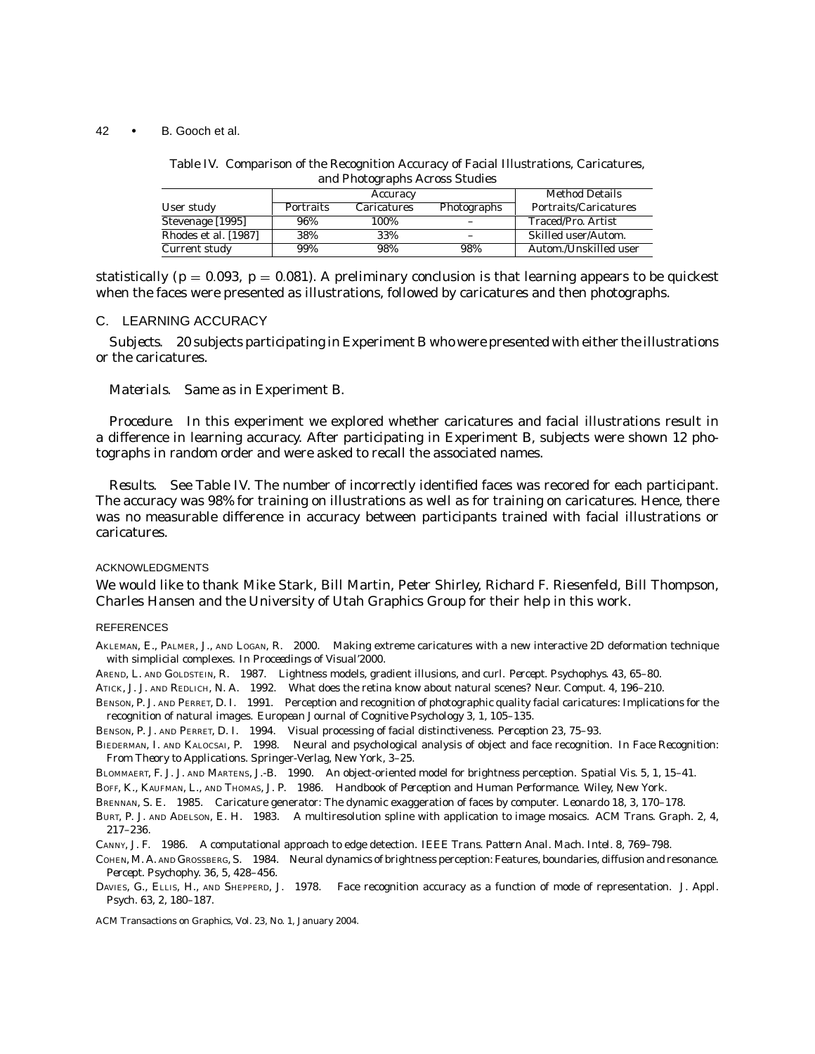Table IV. Comparison of the Recognition Accuracy of Facial Illustrations, Caricatures, and Photographs Across Studies

|                      | Accuracy  |                    |             | <b>Method Details</b> |
|----------------------|-----------|--------------------|-------------|-----------------------|
| User study           | Portraits | <b>Caricatures</b> | Photographs | Portraits/Caricatures |
| Stevenage [1995]     | 96%       | 100%               |             | Traced/Pro. Artist    |
| Rhodes et al. [1987] | 38%       | 33%                |             | Skilled user/Autom.   |
| Current study        | 99%       | 98%                | 98%         | Autom./Unskilled user |

statistically ( $p = 0.093$ ,  $p = 0.081$ ). A preliminary conclusion is that learning appears to be quickest when the faces were presented as illustrations, followed by caricatures and then photographs.

#### C. LEARNING ACCURACY

*Subjects.* 20 subjects participating in Experiment B who were presented with either the illustrations or the caricatures.

*Materials.* Same as in Experiment B.

*Procedure.* In this experiment we explored whether caricatures and facial illustrations result in a difference in learning accuracy. After participating in Experiment B, subjects were shown 12 photographs in random order and were asked to recall the associated names.

*Results.* See Table IV. The number of incorrectly identified faces was recored for each participant. The accuracy was 98% for training on illustrations as well as for training on caricatures. Hence, there was no measurable difference in accuracy between participants trained with facial illustrations or caricatures.

#### ACKNOWLEDGMENTS

We would like to thank Mike Stark, Bill Martin, Peter Shirley, Richard F. Riesenfeld, Bill Thompson, Charles Hansen and the University of Utah Graphics Group for their help in this work.

#### **REFERENCES**

AKLEMAN, E., PALMER, J., AND LOGAN, R. 2000. Making extreme caricatures with a new interactive 2D deformation technique with simplicial complexes. In *Proceedings of Visual'2000*.

AREND, L. AND GOLDSTEIN, R. 1987. Lightness models, gradient illusions, and curl. *Percept. Psychophys. 43*, 65–80.

ATICK, J. J. AND REDLICH, N. A. 1992. What does the retina know about natural scenes? *Neur. Comput. 4*, 196–210.

BENSON, P. J. AND PERRET, D. I. 1991. Perception and recognition of photographic quality facial caricatures: Implications for the recognition of natural images. *European Journal of Cognitive Psychology 3*, 1, 105–135.

BENSON, P. J. AND PERRET, D. I. 1994. Visual processing of facial distinctiveness. *Perception 23*, 75–93.

BIEDERMAN, I. AND KALOCSAI, P. 1998. Neural and psychological analysis of object and face recognition. In *Face Recognition: From Theory to Applications*. Springer-Verlag, New York, 3–25.

BLOMMAERT, F. J. J. AND MARTENS, J.-B. 1990. An object-oriented model for brightness perception. *Spatial Vis. 5*, 1, 15–41.

BOFF, K., KAUFMAN, L., AND THOMAS, J. P. 1986. *Handbook of Perception and Human Performance*. Wiley, New York.

BRENNAN, S. E. 1985. Caricature generator: The dynamic exaggeration of faces by computer. *Leonardo 18*, 3, 170–178.

BURT, P. J. AND ADELSON, E. H. 1983. A multiresolution spline with application to image mosaics. *ACM Trans. Graph. 2*, 4, 217–236.

CANNY, J. F. 1986. A computational approach to edge detection. *IEEE Trans. Pattern Anal. Mach. Intel. 8*, 769–798.

COHEN, M. A. AND GROSSBERG, S. 1984. Neural dynamics of brightness perception: Features, boundaries, diffusion and resonance. *Percept. Psychophy. 36*, 5, 428–456.

DAVIES, G., ELLIS, H., AND SHEPPERD, J. 1978. Face recognition accuracy as a function of mode of representation. *J. Appl. Psych. 63*, 2, 180–187.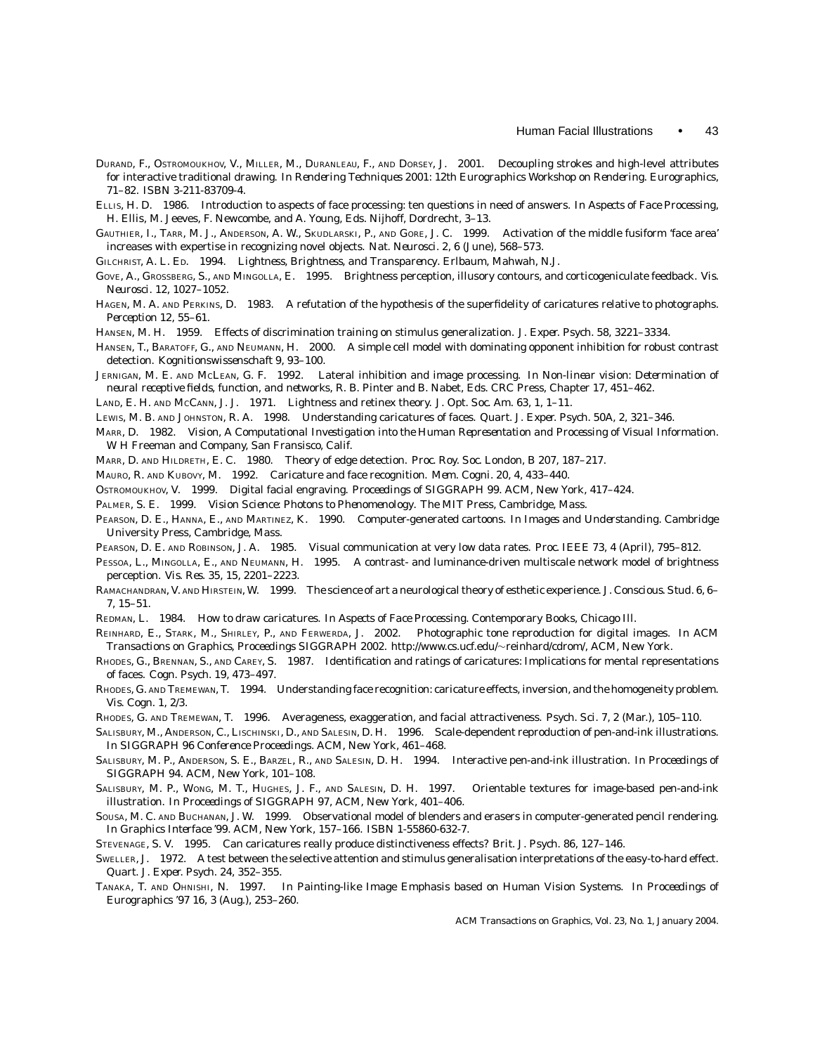- DURAND, F., OSTROMOUKHOV, V., MILLER, M., DURANLEAU, F., AND DORSEY, J. 2001. Decoupling strokes and high-level attributes for interactive traditional drawing. In *Rendering Techniques 2001: 12th Eurographics Workshop on Rendering*. Eurographics, 71–82. ISBN 3-211-83709-4.
- ELLIS, H. D. 1986. Introduction to aspects of face processing: ten questions in need of answers. In *Aspects of Face Processing*, H. Ellis, M. Jeeves, F. Newcombe, and A. Young, Eds. Nijhoff, Dordrecht, 3–13.
- GAUTHIER, I., TARR, M. J., ANDERSON, A. W., SKUDLARSKI, P., AND GORE, J. C. 1999. Activation of the middle fusiform 'face area' increases with expertise in recognizing novel objects. *Nat. Neurosci. 2*, 6 (June), 568–573.
- GILCHRIST, A. L. ED. 1994. *Lightness, Brightness, and Transparency*. Erlbaum, Mahwah, N.J.
- GOVE, A., GROSSBERG, S., AND MINGOLLA, E. 1995. Brightness perception, illusory contours, and corticogeniculate feedback. *Vis. Neurosci. 12*, 1027–1052.
- HAGEN, M. A. AND PERKINS, D. 1983. A refutation of the hypothesis of the superfidelity of caricatures relative to photographs. *Perception 12*, 55–61.
- HANSEN, M. H. 1959. Effects of discrimination training on stimulus generalization. *J. Exper. Psych. 58*, 3221–3334.
- HANSEN, T., BARATOFF, G., AND NEUMANN, H. 2000. A simple cell model with dominating opponent inhibition for robust contrast detection. *Kognitionswissenschaft 9*, 93–100.
- JERNIGAN, M. E. AND MCLEAN, G. F. 1992. Lateral inhibition and image processing. In *Non-linear vision: Determination of neural receptive fields, function, and networks*, R. B. Pinter and B. Nabet, Eds. CRC Press, Chapter 17, 451–462.
- LAND, E. H. AND MCCANN, J. J. 1971. Lightness and retinex theory. *J. Opt. Soc. Am. 63*, 1, 1–11.
- LEWIS, M. B. AND JOHNSTON, R. A. 1998. Understanding caricatures of faces. *Quart. J. Exper. Psych. 50A*, 2, 321–346.
- MARR, D. 1982. *Vision, A Computational Investigation into the Human Representation and Processing of Visual Information*. W H Freeman and Company, San Fransisco, Calif.
- MARR, D. AND HILDRETH, E. C. 1980. Theory of edge detection. *Proc. Roy. Soc. London, B 207*, 187–217.
- MAURO, R. AND KUBOVY, M. 1992. Caricature and face recognition. *Mem. Cogni. 20*, 4, 433–440.
- OSTROMOUKHOV, V. 1999. Digital facial engraving. *Proceedings of SIGGRAPH 99*. ACM, New York, 417–424.
- PALMER, S. E. 1999. *Vision Science: Photons to Phenomenology*. The MIT Press, Cambridge, Mass.
- PEARSON, D. E., HANNA, E., AND MARTINEZ, K. 1990. Computer-generated cartoons. In *Images and Understanding*. Cambridge University Press, Cambridge, Mass.
- PEARSON, D. E. AND ROBINSON, J. A. 1985. Visual communication at very low data rates. *Proc. IEEE 73*, 4 (April), 795–812.
- PESSOA, L., MINGOLLA, E., AND NEUMANN, H. 1995. A contrast- and luminance-driven multiscale network model of brightness perception. *Vis. Res. 35*, 15, 2201–2223.
- RAMACHANDRAN, V. AND HIRSTEIN, W. 1999. The science of art a neurological theory of esthetic experience. *J. Conscious. Stud. 6*, 6– 7, 15–51.
- REDMAN, L. 1984. How to draw caricatures. In *Aspects of Face Processing*. Contemporary Books, Chicago Ill.
- REINHARD, E., STARK, M., SHIRLEY, P., AND FERWERDA, J. 2002. Photographic tone reproduction for digital images. In *ACM Transactions on Graphics, Proceedings SIGGRAPH 2002*. http://www.cs.ucf.edu/∼reinhard/cdrom/, ACM, New York.
- RHODES, G., BRENNAN, S., AND CAREY, S. 1987. Identification and ratings of caricatures: Implications for mental representations of faces. *Cogn. Psych. 19*, 473–497.
- RHODES, G. AND TREMEWAN, T. 1994. Understanding face recognition: caricature effects, inversion, and the homogeneity problem. *Vis. Cogn. 1*, 2/3.
- RHODES, G. AND TREMEWAN, T. 1996. Averageness, exaggeration, and facial attractiveness. *Psych. Sci. 7*, 2 (Mar.), 105–110.
- SALISBURY, M., ANDERSON, C., LISCHINSKI, D., AND SALESIN, D. H. 1996. Scale-dependent reproduction of pen-and-ink illustrations. In *SIGGRAPH 96 Conference Proceedings*. ACM, New York, 461–468.
- SALISBURY, M. P., ANDERSON, S. E., BARZEL, R., AND SALESIN, D. H. 1994. Interactive pen-and-ink illustration. In *Proceedings of SIGGRAPH 94*. ACM, New York, 101–108.
- SALISBURY, M. P., WONG, M. T., HUGHES, J. F., AND SALESIN, D. H. 1997. Orientable textures for image-based pen-and-ink illustration. In *Proceedings of SIGGRAPH 97*, ACM, New York, 401–406.
- SOUSA, M. C. AND BUCHANAN, J. W. 1999. Observational model of blenders and erasers in computer-generated pencil rendering. In *Graphics Interface '99*. ACM, New York, 157–166. ISBN 1-55860-632-7.
- STEVENAGE, S. V. 1995. Can caricatures really produce distinctiveness effects? *Brit. J. Psych. 86*, 127–146.
- SWELLER, J. 1972. A test between the selective attention and stimulus generalisation interpretations of the easy-to-hard effect. *Quart. J. Exper. Psych. 24*, 352–355.
- TANAKA, T. AND OHNISHI, N. 1997. In Painting-like Image Emphasis based on Human Vision Systems. In *Proceedings of Eurographics '97 16*, 3 (Aug.), 253–260.